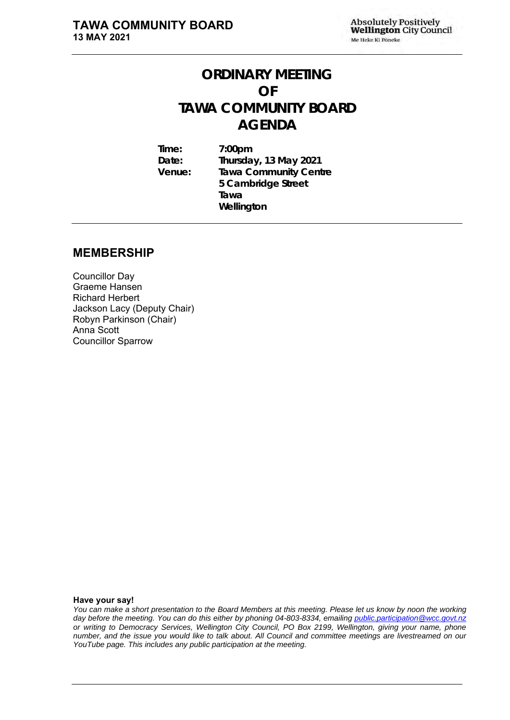# **ORDINARY MEETING OF TAWA COMMUNITY BOARD AGENDA**

**Time: 7:00pm Date: Thursday, 13 May 2021 Venue: Tawa Community Centre 5 Cambridge Street Tawa Wellington**

## **MEMBERSHIP**

Councillor Day Graeme Hansen Richard Herbert Jackson Lacy (Deputy Chair) Robyn Parkinson (Chair) Anna Scott Councillor Sparrow

#### **Have your say!**

*You can make a short presentation to the Board Members at this meeting. Please let us know by noon the working day before the meeting. You can do this either by phoning 04-803-8334, emailing public.participation@wcc.govt.nz or writing to Democracy Services, Wellington City Council, PO Box 2199, Wellington, giving your name, phone number, and the issue you would like to talk about. All Council and committee meetings are livestreamed on our YouTube page. This includes any public participation at the meeting.*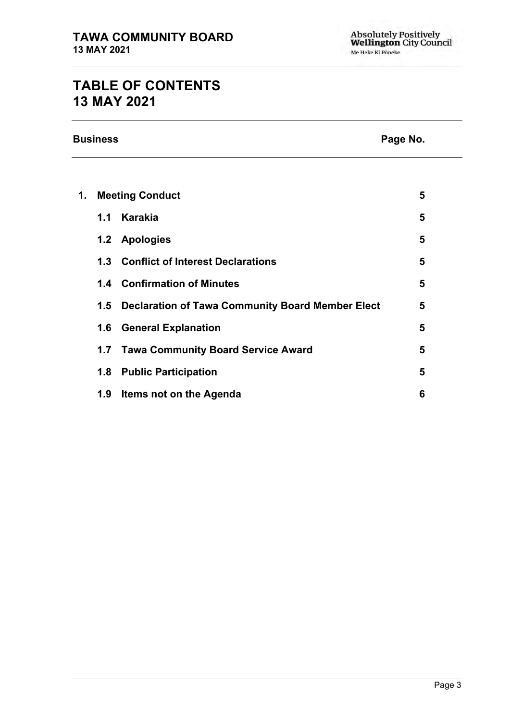# **TABLE OF CONTENTS 13 MAY 2021**

**Business Page No.**

| 1. |     | <b>Meeting Conduct</b>                               | 5 |
|----|-----|------------------------------------------------------|---|
|    | 1.1 | Karakia                                              | 5 |
|    | 1.2 | <b>Apologies</b>                                     | 5 |
|    |     | 1.3 Conflict of Interest Declarations                | 5 |
|    |     | 1.4 Confirmation of Minutes                          | 5 |
|    |     | 1.5 Declaration of Tawa Community Board Member Elect | 5 |
|    |     | 1.6 General Explanation                              | 5 |
|    |     | 1.7 Tawa Community Board Service Award               | 5 |
|    | 1.8 | <b>Public Participation</b>                          | 5 |
|    | 1.9 | Items not on the Agenda                              | 6 |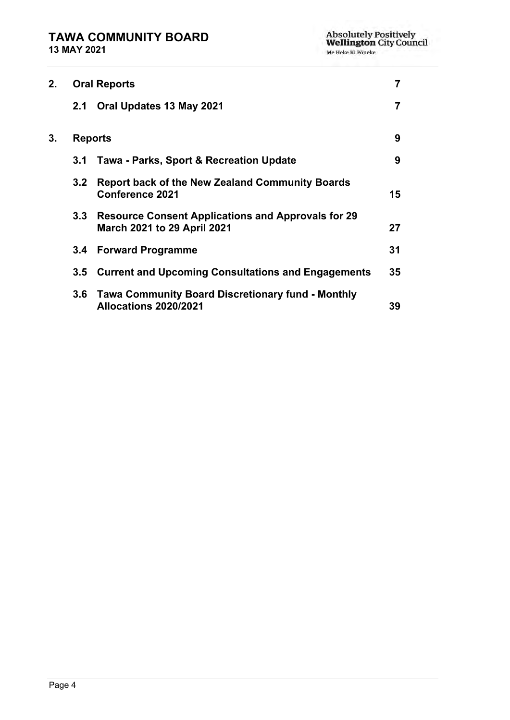| 2. |                  | <b>Oral Reports</b>                                                                             | 7  |
|----|------------------|-------------------------------------------------------------------------------------------------|----|
|    | 2.1              | Oral Updates 13 May 2021                                                                        | 7  |
| 3. |                  | <b>Reports</b>                                                                                  | 9  |
|    | 3.1              | <b>Tawa - Parks, Sport &amp; Recreation Update</b>                                              | 9  |
|    | 3.2 <sub>2</sub> | <b>Report back of the New Zealand Community Boards</b><br>Conference 2021                       | 15 |
|    | 3.3              | <b>Resource Consent Applications and Approvals for 29</b><br><b>March 2021 to 29 April 2021</b> | 27 |
|    | $3.4^{\circ}$    | <b>Forward Programme</b>                                                                        | 31 |
|    | 3.5              | <b>Current and Upcoming Consultations and Engagements</b>                                       | 35 |
|    | 3.6              | <b>Tawa Community Board Discretionary fund - Monthly</b><br>Allocations 2020/2021               | 39 |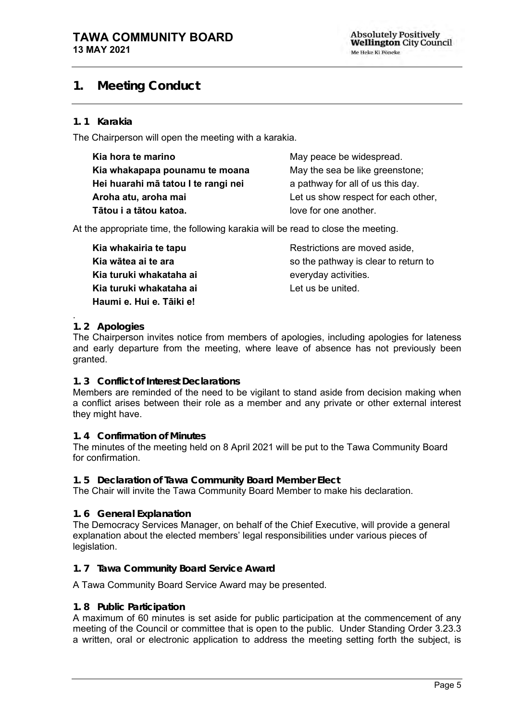# <span id="page-4-0"></span>**1. Meeting Conduct**

#### **1. 1 Karakia**

The Chairperson will open the meeting with a karakia.

| Kia hora te marino                  | May peace be widespread.            |
|-------------------------------------|-------------------------------------|
| Kia whakapapa pounamu te moana      | May the sea be like greenstone;     |
| Hei huarahi mā tatou I te rangi nei | a pathway for all of us this day.   |
| Aroha atu, aroha mai                | Let us show respect for each other, |
| Tātou i a tātou katoa.              | love for one another.               |

At the appropriate time, the following karakia will be read to close the meeting.

**Kia whakairia te tapu Kia wātea ai te ara Kia turuki whakataha ai Kia turuki whakataha ai Haumi e. Hui e. Tāiki e!**

Restrictions are moved aside, so the pathway is clear to return to everyday activities. Let us be united.

#### <span id="page-4-1"></span>. **1. 2 Apologies**

The Chairperson invites notice from members of apologies, including apologies for lateness and early departure from the meeting, where leave of absence has not previously been granted.

#### <span id="page-4-2"></span>**1. 3 Conflict of Interest Declarations**

Members are reminded of the need to be vigilant to stand aside from decision making when a conflict arises between their role as a member and any private or other external interest they might have.

### <span id="page-4-3"></span>**1. 4 Confirmation of Minutes**

The minutes of the meeting held on 8 April 2021 will be put to the Tawa Community Board for confirmation.

#### **1. 5 Declaration of Tawa Community Board Member Elect**

The Chair will invite the Tawa Community Board Member to make his declaration.

### **1. 6 General Explanation**

The Democracy Services Manager, on behalf of the Chief Executive, will provide a general explanation about the elected members' legal responsibilities under various pieces of legislation.

### <span id="page-4-4"></span>**1. 7 Tawa Community Board Service Award**

### A Tawa Community Board Service Award may be presented.

#### <span id="page-4-5"></span>**1. 8 Public Participation**

A maximum of 60 minutes is set aside for public participation at the commencement of any meeting of the Council or committee that is open to the public. Under Standing Order 3.23.3 a written, oral or electronic application to address the meeting setting forth the subject, is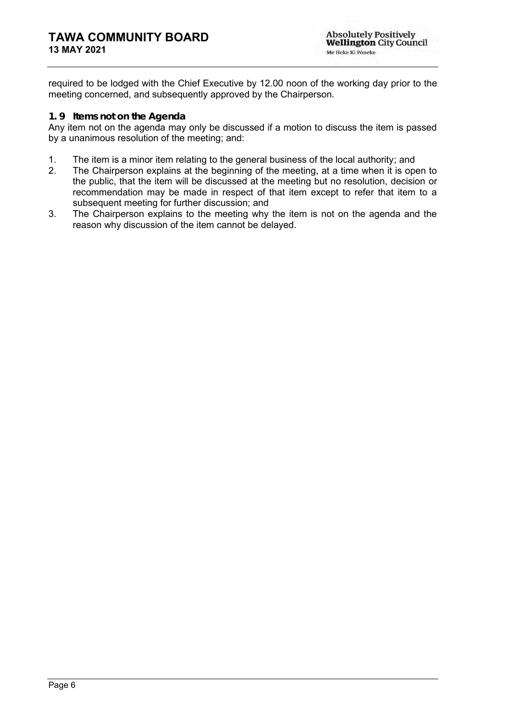required to be lodged with the Chief Executive by 12.00 noon of the working day prior to the meeting concerned, and subsequently approved by the Chairperson.

#### <span id="page-5-0"></span>**1. 9 Items not on the Agenda**

Any item not on the agenda may only be discussed if a motion to discuss the item is passed by a unanimous resolution of the meeting; and:

- 1. The item is a minor item relating to the general business of the local authority; and
- 2. The Chairperson explains at the beginning of the meeting, at a time when it is open to the public, that the item will be discussed at the meeting but no resolution, decision or recommendation may be made in respect of that item except to refer that item to a subsequent meeting for further discussion; and
- 3. The Chairperson explains to the meeting why the item is not on the agenda and the reason why discussion of the item cannot be delayed.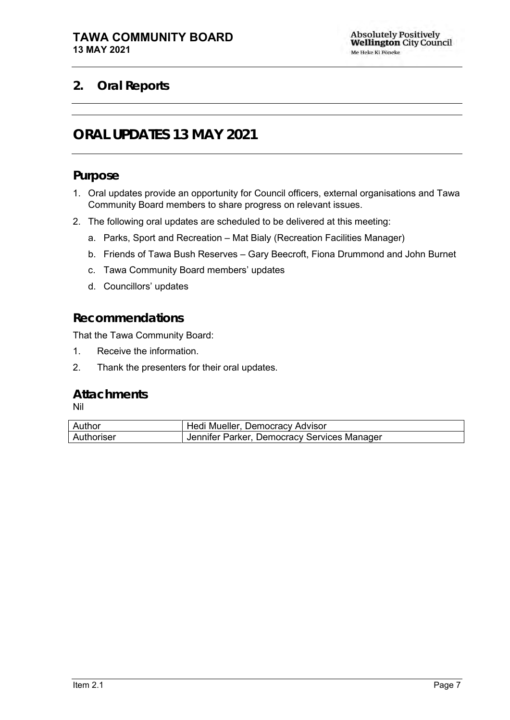# <span id="page-6-1"></span><span id="page-6-0"></span>**2. Oral Reports**

# **ORAL UPDATES 13 MAY 2021**

## **Purpose**

- 1. Oral updates provide an opportunity for Council officers, external organisations and Tawa Community Board members to share progress on relevant issues.
- 2. The following oral updates are scheduled to be delivered at this meeting:
	- a. Parks, Sport and Recreation Mat Bialy (Recreation Facilities Manager)
	- b. Friends of Tawa Bush Reserves Gary Beecroft, Fiona Drummond and John Burnet
	- c. Tawa Community Board members' updates
	- d. Councillors' updates

## **Recommendations**

That the Tawa Community Board:

- 1. Receive the information.
- 2. Thank the presenters for their oral updates.

## **Attachments**

Nil

| Author            | Hedi Mueller, Democracy Advisor             |
|-------------------|---------------------------------------------|
| <b>Authoriser</b> | Jennifer Parker, Democracy Services Manager |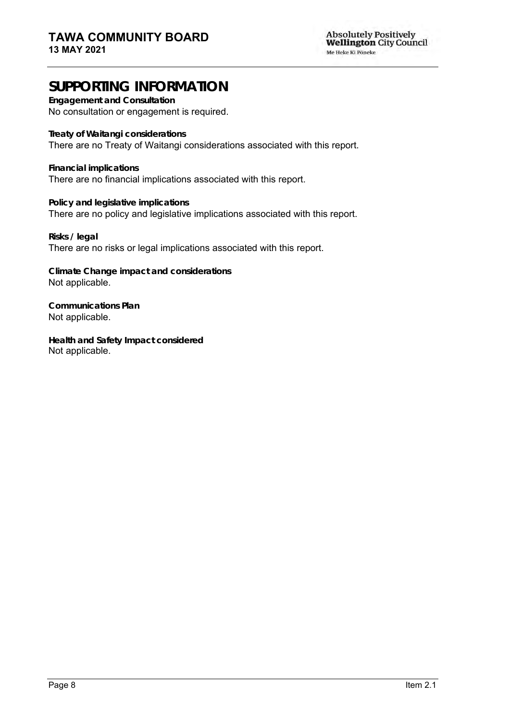# **SUPPORTING INFORMATION**

**Engagement and Consultation**

No consultation or engagement is required.

**Treaty of Waitangi considerations** There are no Treaty of Waitangi considerations associated with this report.

**Financial implications** There are no financial implications associated with this report.

**Policy and legislative implications** There are no policy and legislative implications associated with this report.

**Risks / legal**  There are no risks or legal implications associated with this report.

**Climate Change impact and considerations** Not applicable.

**Communications Plan** Not applicable.

**Health and Safety Impact considered** Not applicable.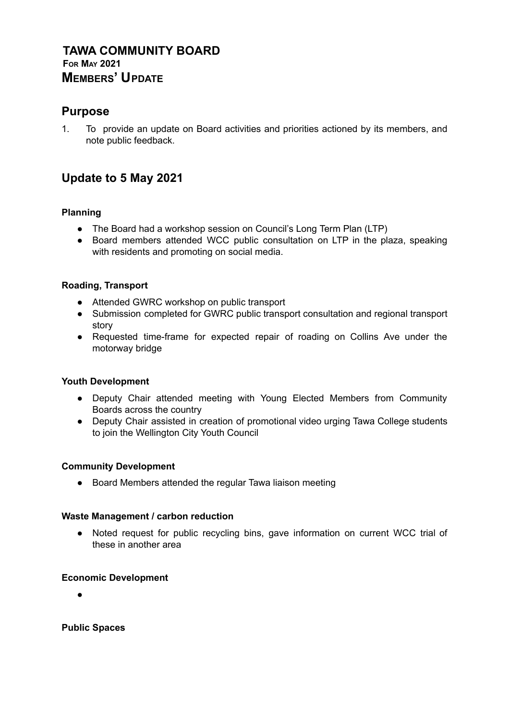## **TAWA COMMUNITY BOARD FOR MAY 2021 MEMBERS' UPDATE**

## **Purpose**

1. To provide an update on Board activities and priorities actioned by its members, and note public feedback.

# **Update to 5 May 2021**

### **Planning**

- The Board had a workshop session on Council's Long Term Plan (LTP)
- Board members attended WCC public consultation on LTP in the plaza, speaking with residents and promoting on social media.

### **Roading, Transport**

- Attended GWRC workshop on public transport
- Submission completed for GWRC public transport consultation and regional transport story
- Requested time-frame for expected repair of roading on Collins Ave under the motorway bridge

### **Youth Development**

- Deputy Chair attended meeting with Young Elected Members from Community Boards across the country
- Deputy Chair assisted in creation of promotional video urging Tawa College students to join the Wellington City Youth Council

### **Community Development**

● Board Members attended the regular Tawa liaison meeting

### **Waste Management / carbon reduction**

● Noted request for public recycling bins, gave information on current WCC trial of these in another area

### **Economic Development**

●

**Public Spaces**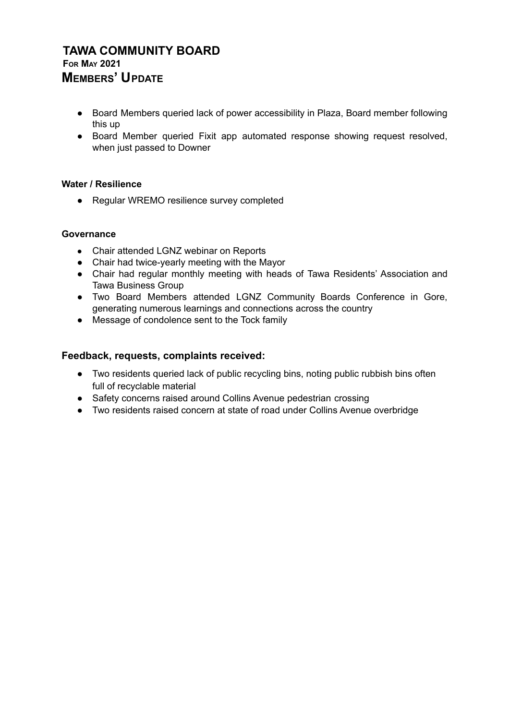## **TAWA COMMUNITY BOARD FOR MAY 2021 MEMBERS' UPDATE**

- Board Members queried lack of power accessibility in Plaza, Board member following this up
- Board Member queried Fixit app automated response showing request resolved, when just passed to Downer

### **Water / Resilience**

● Regular WREMO resilience survey completed

### **Governance**

- Chair attended LGNZ webinar on Reports
- Chair had twice-yearly meeting with the Mayor
- Chair had regular monthly meeting with heads of Tawa Residents' Association and Tawa Business Group
- Two Board Members attended LGNZ Community Boards Conference in Gore, generating numerous learnings and connections across the country
- Message of condolence sent to the Tock family

### **Feedback, requests, complaints received:**

- Two residents queried lack of public recycling bins, noting public rubbish bins often full of recyclable material
- Safety concerns raised around Collins Avenue pedestrian crossing
- Two residents raised concern at state of road under Collins Avenue overbridge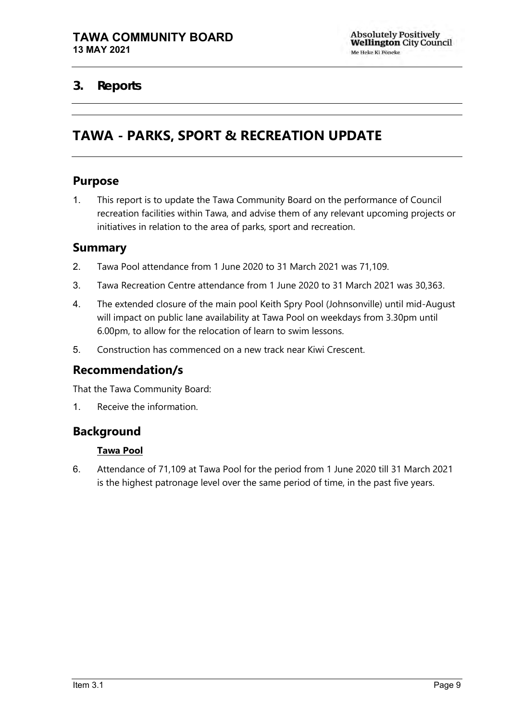# <span id="page-10-1"></span><span id="page-10-0"></span>**3. Reports**

# **TAWA - PARKS, SPORT & RECREATION UPDATE**

## **Purpose**

1. This report is to update the Tawa Community Board on the performance of Council recreation facilities within Tawa, and advise them of any relevant upcoming projects or initiatives in relation to the area of parks, sport and recreation.

## **Summary**

- 2. Tawa Pool attendance from 1 June 2020 to 31 March 2021 was 71,109.
- 3. Tawa Recreation Centre attendance from 1 June 2020 to 31 March 2021 was 30,363.
- 4. The extended closure of the main pool Keith Spry Pool (Johnsonville) until mid-August will impact on public lane availability at Tawa Pool on weekdays from 3.30pm until 6.00pm, to allow for the relocation of learn to swim lessons.
- 5. Construction has commenced on a new track near Kiwi Crescent.

## **Recommendation/s**

That the Tawa Community Board:

1. Receive the information.

## **Background**

### **Tawa Pool**

6. Attendance of 71,109 at Tawa Pool for the period from 1 June 2020 till 31 March 2021 is the highest patronage level over the same period of time, in the past five years.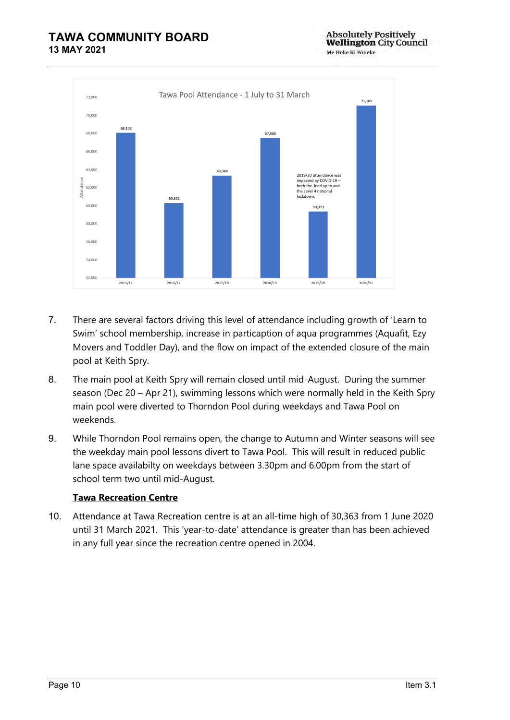

- 7. There are several factors driving this level of attendance including growth of 'Learn to Swim' school membership, increase in particaption of aqua programmes (Aquafit, Ezy Movers and Toddler Day), and the flow on impact of the extended closure of the main pool at Keith Spry.
- 8. The main pool at Keith Spry will remain closed until mid-August. During the summer season (Dec 20 – Apr 21), swimming lessons which were normally held in the Keith Spry main pool were diverted to Thorndon Pool during weekdays and Tawa Pool on weekends.
- 9. While Thorndon Pool remains open, the change to Autumn and Winter seasons will see the weekday main pool lessons divert to Tawa Pool. This will result in reduced public lane space availabilty on weekdays between 3.30pm and 6.00pm from the start of school term two until mid-August.

### **Tawa Recreation Centre**

10. Attendance at Tawa Recreation centre is at an all-time high of 30,363 from 1 June 2020 until 31 March 2021. This 'year-to-date' attendance is greater than has been achieved in any full year since the recreation centre opened in 2004.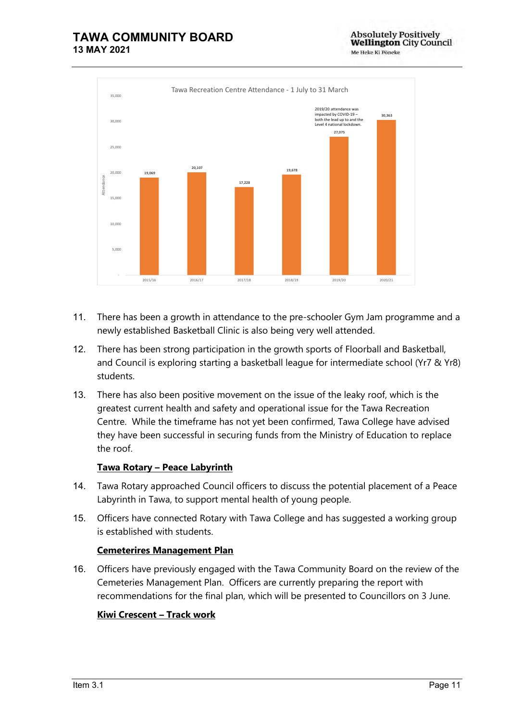

- 11. There has been a growth in attendance to the pre-schooler Gym Jam programme and a newly established Basketball Clinic is also being very well attended.
- 12. There has been strong participation in the growth sports of Floorball and Basketball, and Council is exploring starting a basketball league for intermediate school (Yr7 & Yr8) students.
- 13. There has also been positive movement on the issue of the leaky roof, which is the greatest current health and safety and operational issue for the Tawa Recreation Centre. While the timeframe has not yet been confirmed, Tawa College have advised they have been successful in securing funds from the Ministry of Education to replace the roof.

### **Tawa Rotary – Peace Labyrinth**

- 14. Tawa Rotary approached Council officers to discuss the potential placement of a Peace Labyrinth in Tawa, to support mental health of young people.
- 15. Officers have connected Rotary with Tawa College and has suggested a working group is established with students.

### **Cemeterires Management Plan**

16. Officers have previously engaged with the Tawa Community Board on the review of the Cemeteries Management Plan. Officers are currently preparing the report with recommendations for the final plan, which will be presented to Councillors on 3 June.

### **Kiwi Crescent – Track work**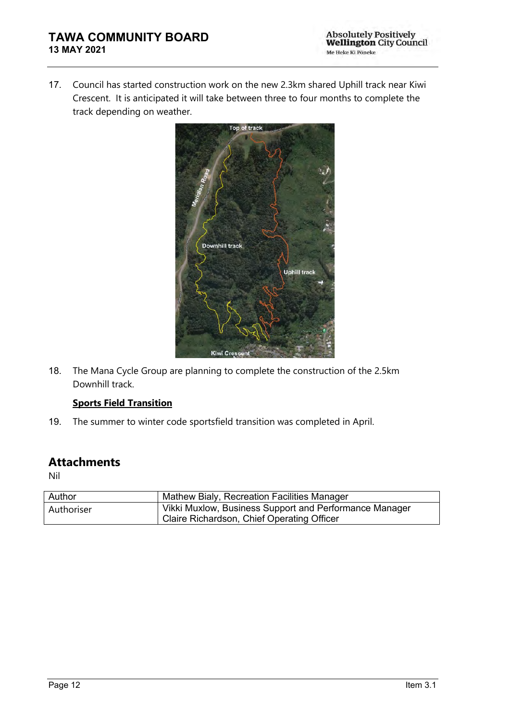17. Council has started construction work on the new 2.3km shared Uphill track near Kiwi Crescent. It is anticipated it will take between three to four months to complete the track depending on weather.



18. The Mana Cycle Group are planning to complete the construction of the 2.5km Downhill track.

### **Sports Field Transition**

19. The summer to winter code sportsfield transition was completed in April.

## **Attachments**

Nil

| Author     | Mathew Bialy, Recreation Facilities Manager            |
|------------|--------------------------------------------------------|
| Authoriser | Vikki Muxlow, Business Support and Performance Manager |
|            | Claire Richardson, Chief Operating Officer             |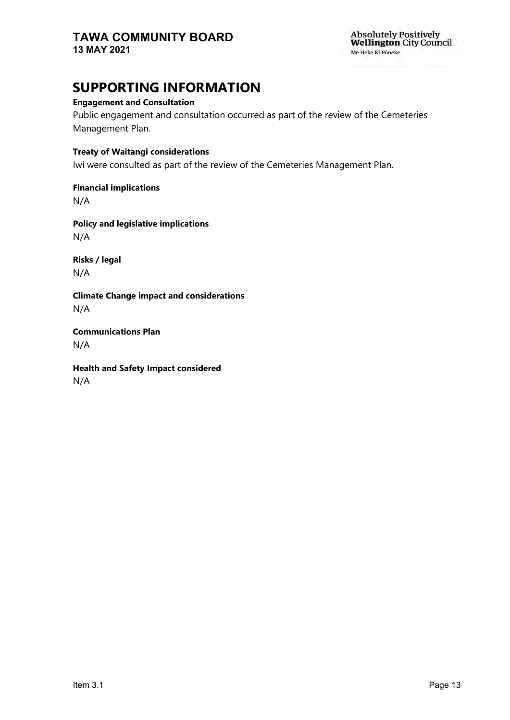# **SUPPORTING INFORMATION**

### **Engagement and Consultation**

Public engagement and consultation occurred as part of the review of the Cemeteries Management Plan.

### **Treaty of Waitangi considerations**

Iwi were consulted as part of the review of the Cemeteries Management Plan.

**Financial implications**

N/A

**Policy and legislative implications** N/A

**Risks / legal**  N/A

**Climate Change impact and considerations** N/A

**Communications Plan** N/A

**Health and Safety Impact considered** N/A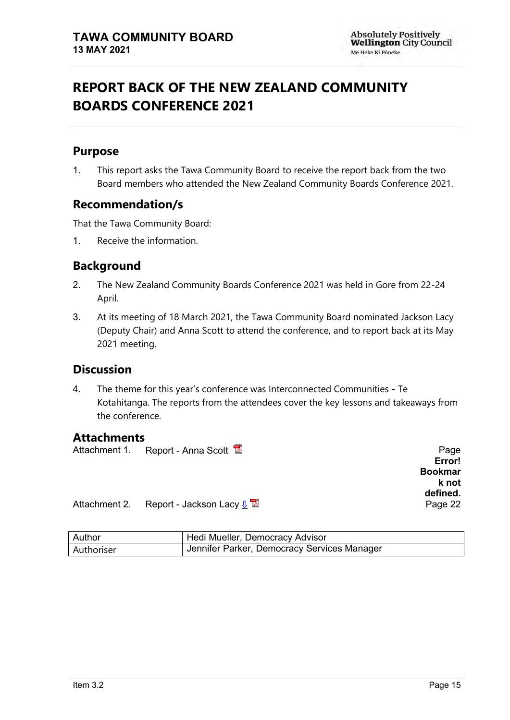# <span id="page-16-0"></span>**REPORT BACK OF THE NEW ZEALAND COMMUNITY BOARDS CONFERENCE 2021**

# **Purpose**

1. This report asks the Tawa Community Board to receive the report back from the two Board members who attended the New Zealand Community Boards Conference 2021.

# **Recommendation/s**

That the Tawa Community Board:

1. Receive the information.

# **Background**

- 2. The New Zealand Community Boards Conference 2021 was held in Gore from 22-24 April.
- 3. At its meeting of 18 March 2021, the Tawa Community Board nominated Jackson Lacy (Deputy Chair) and Anna Scott to attend the conference, and to report back at its May 2021 meeting.

## **Discussion**

4. The theme for this year's conference was Interconnected Communities - Te Kotahitanga. The reports from the attendees cover the key lessons and takeaways from the conference.

## **Attachments**

|  | Attachment 1. Report - Anna Scott |  | Page |
|--|-----------------------------------|--|------|
|--|-----------------------------------|--|------|

**Error! Bookmar k not defined.**

Attachment 2. Report - Jackson Lacy <u>↓</u> **A** example to the control of Page [22](#page-23-0)

| Author     | Hedi Mueller, Democracy Advisor             |
|------------|---------------------------------------------|
| Authoriser | Jennifer Parker, Democracy Services Manager |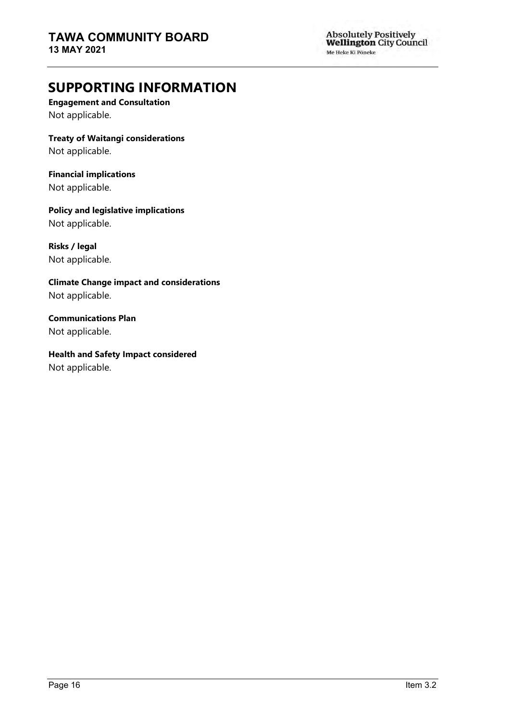**Absolutely Positively<br>Wellington City Council** Me Heke Ki Põneke

# **SUPPORTING INFORMATION**

**Engagement and Consultation** Not applicable.

**Treaty of Waitangi considerations**

Not applicable.

**Financial implications** Not applicable.

**Policy and legislative implications** Not applicable.

**Risks / legal**  Not applicable.

**Climate Change impact and considerations** Not applicable.

**Communications Plan** Not applicable.

**Health and Safety Impact considered** Not applicable.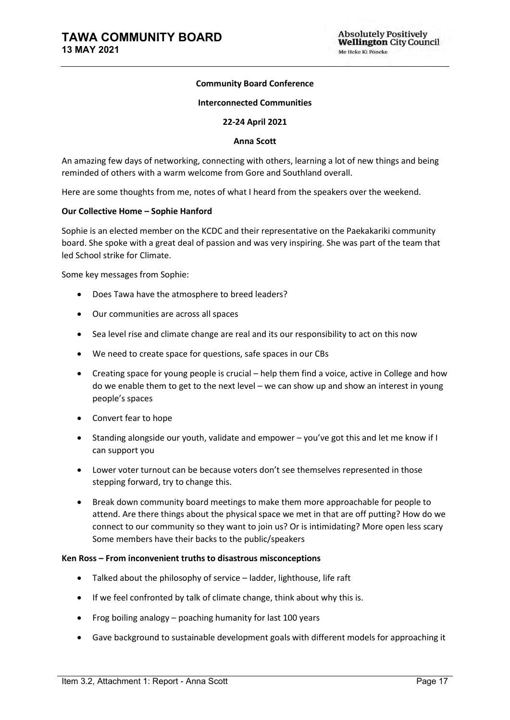### **Community Board Conference**

#### **Interconnected Communities**

#### **22-24 April 2021**

#### **Anna Scott**

An amazing few days of networking, connecting with others, learning a lot of new things and being reminded of others with a warm welcome from Gore and Southland overall.

Here are some thoughts from me, notes of what I heard from the speakers over the weekend.

#### **Our Collective Home – Sophie Hanford**

Sophie is an elected member on the KCDC and their representative on the Paekakariki community board. She spoke with a great deal of passion and was very inspiring. She was part of the team that led School strike for Climate.

Some key messages from Sophie:

- Does Tawa have the atmosphere to breed leaders?
- Our communities are across all spaces
- Sea level rise and climate change are real and its our responsibility to act on this now
- We need to create space for questions, safe spaces in our CBs
- Creating space for young people is crucial help them find a voice, active in College and how do we enable them to get to the next level – we can show up and show an interest in young people's spaces
- Convert fear to hope
- Standing alongside our youth, validate and empower you've got this and let me know if I can support you
- Lower voter turnout can be because voters don't see themselves represented in those stepping forward, try to change this.
- Break down community board meetings to make them more approachable for people to attend. Are there things about the physical space we met in that are off putting? How do we connect to our community so they want to join us? Or is intimidating? More open less scary Some members have their backs to the public/speakers

#### **Ken Ross – From inconvenient truths to disastrous misconceptions**

- Talked about the philosophy of service ladder, lighthouse, life raft
- If we feel confronted by talk of climate change, think about why this is.
- Frog boiling analogy poaching humanity for last 100 years
- Gave background to sustainable development goals with different models for approaching it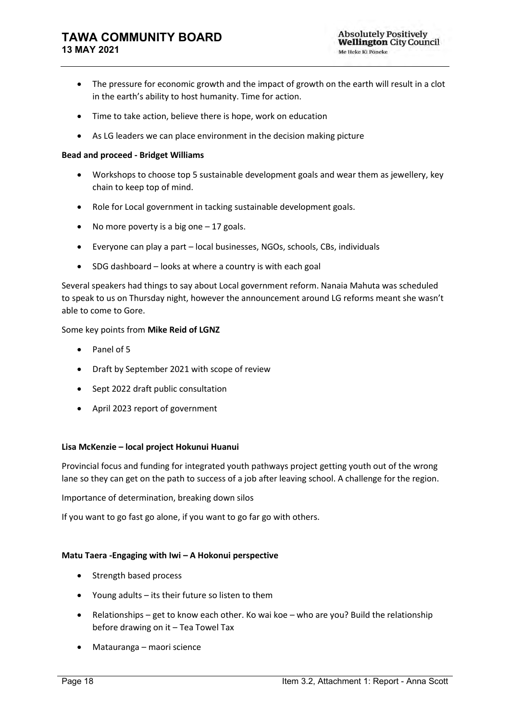- The pressure for economic growth and the impact of growth on the earth will result in a clot in the earth's ability to host humanity. Time for action.
- Time to take action, believe there is hope, work on education
- As LG leaders we can place environment in the decision making picture

#### **Bead and proceed - Bridget Williams**

- Workshops to choose top 5 sustainable development goals and wear them as jewellery, key chain to keep top of mind.
- Role for Local government in tacking sustainable development goals.
- No more poverty is a big one  $-17$  goals.
- Everyone can play a part local businesses, NGOs, schools, CBs, individuals
- SDG dashboard looks at where a country is with each goal

Several speakers had things to say about Local government reform. Nanaia Mahuta was scheduled to speak to us on Thursday night, however the announcement around LG reforms meant she wasn't able to come to Gore.

#### Some key points from **Mike Reid of LGNZ**

- Panel of 5
- Draft by September 2021 with scope of review
- Sept 2022 draft public consultation
- April 2023 report of government

#### **Lisa McKenzie – local project Hokunui Huanui**

Provincial focus and funding for integrated youth pathways project getting youth out of the wrong lane so they can get on the path to success of a job after leaving school. A challenge for the region.

Importance of determination, breaking down silos

If you want to go fast go alone, if you want to go far go with others.

#### **Matu Taera -Engaging with Iwi – A Hokonui perspective**

- Strength based process
- Young adults its their future so listen to them
- Relationships get to know each other. Ko wai koe who are you? Build the relationship before drawing on it – Tea Towel Tax
- Matauranga maori science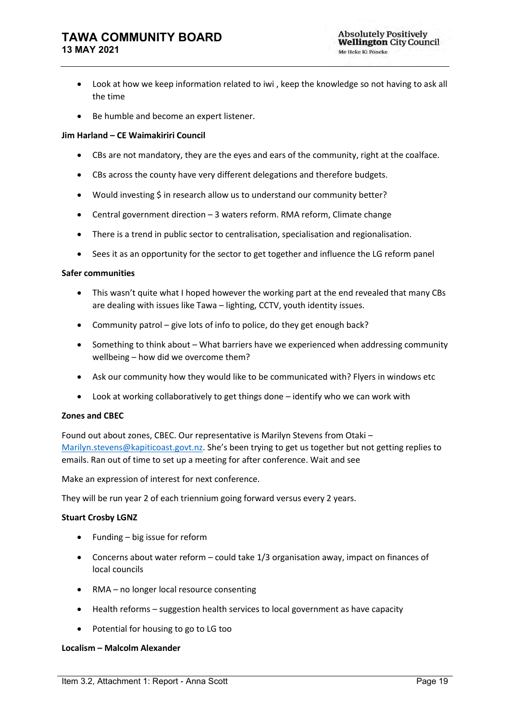- Look at how we keep information related to iwi , keep the knowledge so not having to ask all the time
- Be humble and become an expert listener.

#### **Jim Harland – CE Waimakiriri Council**

- CBs are not mandatory, they are the eyes and ears of the community, right at the coalface.
- CBs across the county have very different delegations and therefore budgets.
- Would investing \$ in research allow us to understand our community better?
- Central government direction 3 waters reform. RMA reform, Climate change
- There is a trend in public sector to centralisation, specialisation and regionalisation.
- Sees it as an opportunity for the sector to get together and influence the LG reform panel

#### **Safer communities**

- This wasn't quite what I hoped however the working part at the end revealed that many CBs are dealing with issues like Tawa – lighting, CCTV, youth identity issues.
- Community patrol give lots of info to police, do they get enough back?
- Something to think about What barriers have we experienced when addressing community wellbeing – how did we overcome them?
- Ask our community how they would like to be communicated with? Flyers in windows etc
- Look at working collaboratively to get things done identify who we can work with

#### **Zones and CBEC**

Found out about zones, CBEC. Our representative is Marilyn Stevens from Otaki – [Marilyn.stevens@kapiticoast.govt.nz](mailto:Marilyn.stevens@kapiticoast.govt.nz). She's been trying to get us together but not getting replies to emails. Ran out of time to set up a meeting for after conference. Wait and see

Make an expression of interest for next conference.

They will be run year 2 of each triennium going forward versus every 2 years.

#### **Stuart Crosby LGNZ**

- Funding big issue for reform
- Concerns about water reform could take 1/3 organisation away, impact on finances of local councils
- RMA no longer local resource consenting
- Health reforms suggestion health services to local government as have capacity
- Potential for housing to go to LG too

#### **Localism – Malcolm Alexander**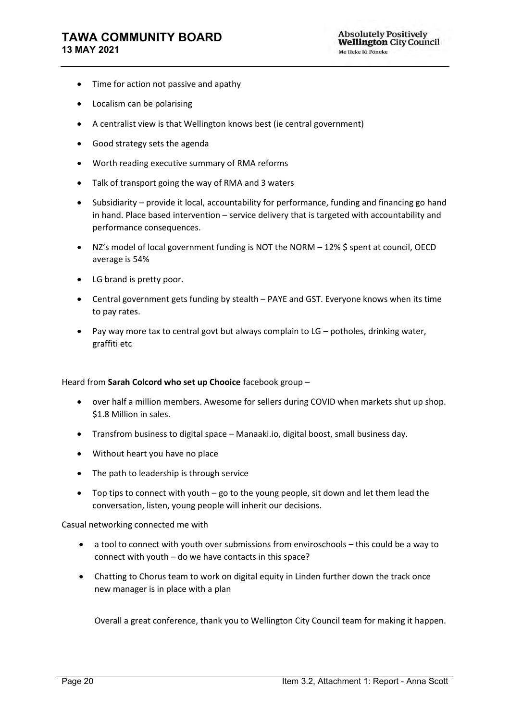### **TAWA COMMUNITY BOARD 13 MAY 2021**

- Time for action not passive and apathy
- Localism can be polarising
- A centralist view is that Wellington knows best (ie central government)
- Good strategy sets the agenda
- Worth reading executive summary of RMA reforms
- Talk of transport going the way of RMA and 3 waters
- Subsidiarity provide it local, accountability for performance, funding and financing go hand in hand. Place based intervention – service delivery that is targeted with accountability and performance consequences.
- NZ's model of local government funding is NOT the NORM 12% \$ spent at council, OECD average is 54%
- LG brand is pretty poor.
- Central government gets funding by stealth PAYE and GST. Everyone knows when its time to pay rates.
- Pay way more tax to central govt but always complain to LG potholes, drinking water, graffiti etc

#### Heard from **Sarah Colcord who set up Chooice** facebook group –

- over half a million members. Awesome for sellers during COVID when markets shut up shop. \$1.8 Million in sales.
- Transfrom business to digital space Manaaki.io, digital boost, small business day.
- Without heart you have no place
- The path to leadership is through service
- Top tips to connect with youth go to the young people, sit down and let them lead the conversation, listen, young people will inherit our decisions.

Casual networking connected me with

- a tool to connect with youth over submissions from enviroschools this could be a way to connect with youth – do we have contacts in this space?
- Chatting to Chorus team to work on digital equity in Linden further down the track once new manager is in place with a plan

Overall a great conference, thank you to Wellington City Council team for making it happen.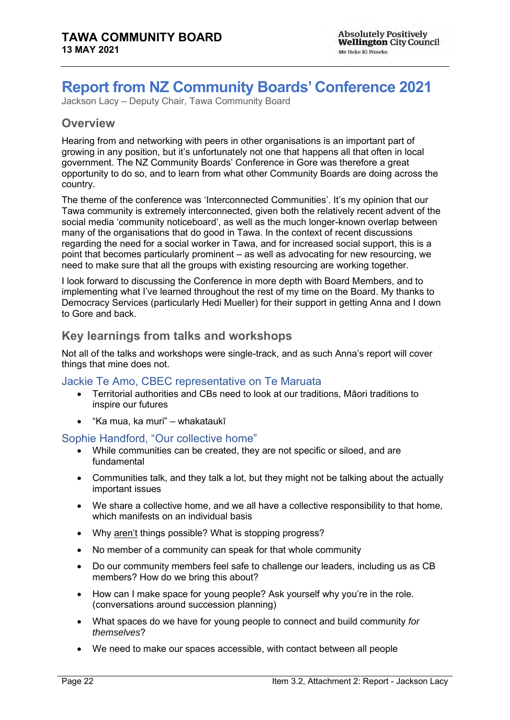# <span id="page-23-0"></span>**Report from NZ Community Boards' Conference 2021**

Jackson Lacy – Deputy Chair, Tawa Community Board

## **Overview**

Hearing from and networking with peers in other organisations is an important part of growing in any position, but it's unfortunately not one that happens all that often in local government. The NZ Community Boards' Conference in Gore was therefore a great opportunity to do so, and to learn from what other Community Boards are doing across the country.

The theme of the conference was 'Interconnected Communities'. It's my opinion that our Tawa community is extremely interconnected, given both the relatively recent advent of the social media 'community noticeboard', as well as the much longer-known overlap between many of the organisations that do good in Tawa. In the context of recent discussions regarding the need for a social worker in Tawa, and for increased social support, this is a point that becomes particularly prominent – as well as advocating for new resourcing, we need to make sure that all the groups with existing resourcing are working together.

I look forward to discussing the Conference in more depth with Board Members, and to implementing what I've learned throughout the rest of my time on the Board. My thanks to Democracy Services (particularly Hedi Mueller) for their support in getting Anna and I down to Gore and back.

## **Key learnings from talks and workshops**

Not all of the talks and workshops were single-track, and as such Anna's report will cover things that mine does not.

### Jackie Te Amo, CBEC representative on Te Maruata

- Territorial authorities and CBs need to look at our traditions, Māori traditions to inspire our futures
- "Ka mua, ka muri" whakataukī

### Sophie Handford, "Our collective home"

- While communities can be created, they are not specific or siloed, and are fundamental
- Communities talk, and they talk a lot, but they might not be talking about the actually important issues
- We share a collective home, and we all have a collective responsibility to that home, which manifests on an individual basis
- Why aren't things possible? What is stopping progress?
- No member of a community can speak for that whole community
- Do our community members feel safe to challenge our leaders, including us as CB members? How do we bring this about?
- How can I make space for young people? Ask yourself why you're in the role. (conversations around succession planning)
- What spaces do we have for young people to connect and build community *for themselves*?
- We need to make our spaces accessible, with contact between all people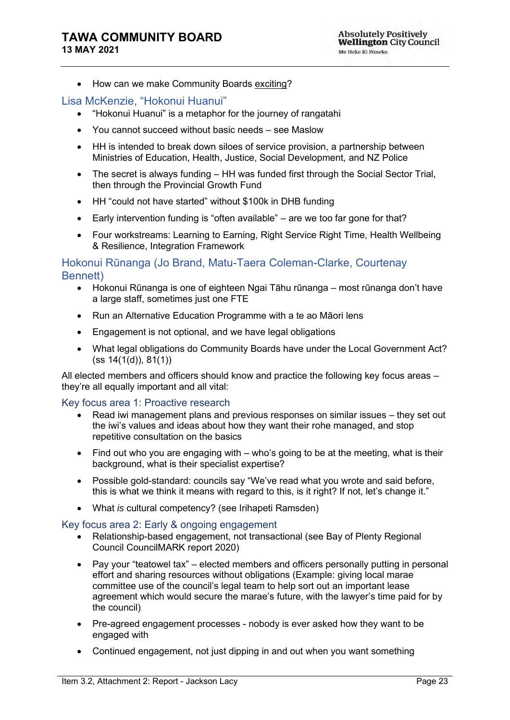• How can we make Community Boards exciting?

### Lisa McKenzie, "Hokonui Huanui"

- "Hokonui Huanui" is a metaphor for the journey of rangatahi
- You cannot succeed without basic needs see Maslow
- HH is intended to break down siloes of service provision, a partnership between Ministries of Education, Health, Justice, Social Development, and NZ Police
- The secret is always funding HH was funded first through the Social Sector Trial, then through the Provincial Growth Fund
- HH "could not have started" without \$100k in DHB funding
- Early intervention funding is "often available" are we too far gone for that?
- Four workstreams: Learning to Earning, Right Service Right Time, Health Wellbeing & Resilience, Integration Framework

### Hokonui Rūnanga (Jo Brand, Matu-Taera Coleman-Clarke, Courtenay Bennett)

- Hokonui Rūnanga is one of eighteen Ngai Tāhu rūnanga most rūnanga don't have a large staff, sometimes just one FTE
- Run an Alternative Education Programme with a te ao Māori lens
- Engagement is not optional, and we have legal obligations
- What legal obligations do Community Boards have under the Local Government Act? (ss 14(1(d)), 81(1))

All elected members and officers should know and practice the following key focus areas – they're all equally important and all vital:

#### Key focus area 1: Proactive research

- Read iwi management plans and previous responses on similar issues they set out the iwi's values and ideas about how they want their rohe managed, and stop repetitive consultation on the basics
- Find out who you are engaging with who's going to be at the meeting, what is their background, what is their specialist expertise?
- Possible gold-standard: councils say "We've read what you wrote and said before, this is what we think it means with regard to this, is it right? If not, let's change it."
- What *is* cultural competency? (see Irihapeti Ramsden)

#### Key focus area 2: Early & ongoing engagement

- Relationship-based engagement, not transactional (see Bay of Plenty Regional Council CouncilMARK report 2020)
- Pay your "teatowel tax" elected members and officers personally putting in personal effort and sharing resources without obligations (Example: giving local marae committee use of the council's legal team to help sort out an important lease agreement which would secure the marae's future, with the lawyer's time paid for by the council)
- Pre-agreed engagement processes nobody is ever asked how they want to be engaged with
- Continued engagement, not just dipping in and out when you want something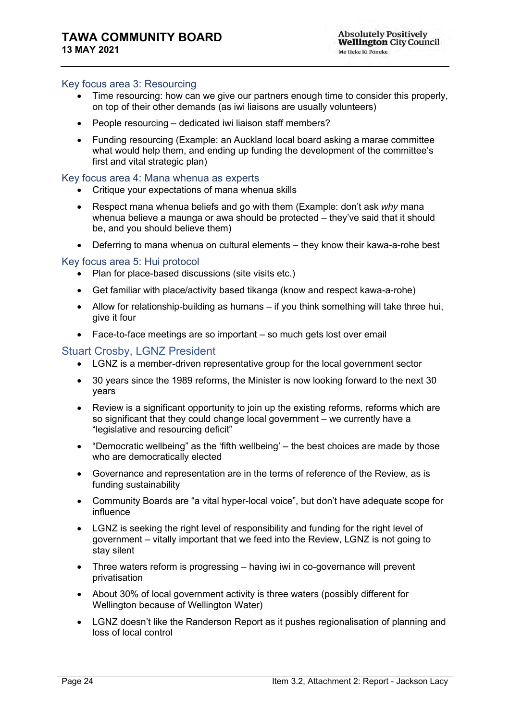### Key focus area 3: Resourcing

- Time resourcing: how can we give our partners enough time to consider this properly, on top of their other demands (as iwi liaisons are usually volunteers)
- People resourcing dedicated iwi liaison staff members?
- Funding resourcing (Example: an Auckland local board asking a marae committee what would help them, and ending up funding the development of the committee's first and vital strategic plan)

### Key focus area 4: Mana whenua as experts

- Critique your expectations of mana whenua skills
- Respect mana whenua beliefs and go with them (Example: don't ask *why* mana whenua believe a maunga or awa should be protected – they've said that it should be, and you should believe them)
- Deferring to mana whenua on cultural elements they know their kawa-a-rohe best

### Key focus area 5: Hui protocol

- Plan for place-based discussions (site visits etc.)
- Get familiar with place/activity based tikanga (know and respect kawa-a-rohe)
- Allow for relationship-building as humans if you think something will take three hui, give it four
- Face-to-face meetings are so important so much gets lost over email

### Stuart Crosby, LGNZ President

- LGNZ is a member-driven representative group for the local government sector
- 30 years since the 1989 reforms, the Minister is now looking forward to the next 30 years
- Review is a significant opportunity to join up the existing reforms, reforms which are so significant that they could change local government – we currently have a "legislative and resourcing deficit"
- "Democratic wellbeing" as the 'fifth wellbeing' the best choices are made by those who are democratically elected
- Governance and representation are in the terms of reference of the Review, as is funding sustainability
- Community Boards are "a vital hyper-local voice", but don't have adequate scope for influence
- LGNZ is seeking the right level of responsibility and funding for the right level of government – vitally important that we feed into the Review, LGNZ is not going to stay silent
- Three waters reform is progressing having iwi in co-governance will prevent privatisation
- About 30% of local government activity is three waters (possibly different for Wellington because of Wellington Water)
- LGNZ doesn't like the Randerson Report as it pushes regionalisation of planning and loss of local control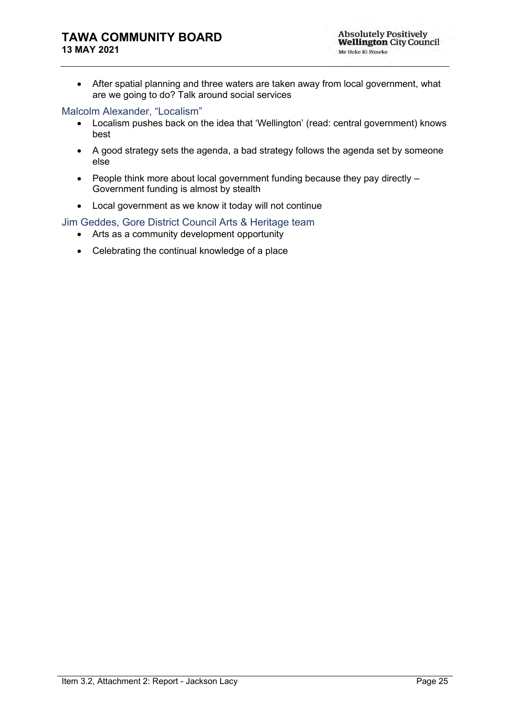### **TAWA COMMUNITY BOARD 13 MAY 2021**

• After spatial planning and three waters are taken away from local government, what are we going to do? Talk around social services

### Malcolm Alexander, "Localism"

- Localism pushes back on the idea that 'Wellington' (read: central government) knows best
- A good strategy sets the agenda, a bad strategy follows the agenda set by someone else
- People think more about local government funding because they pay directly Government funding is almost by stealth
- Local government as we know it today will not continue

### Jim Geddes, Gore District Council Arts & Heritage team

- Arts as a community development opportunity
- Celebrating the continual knowledge of a place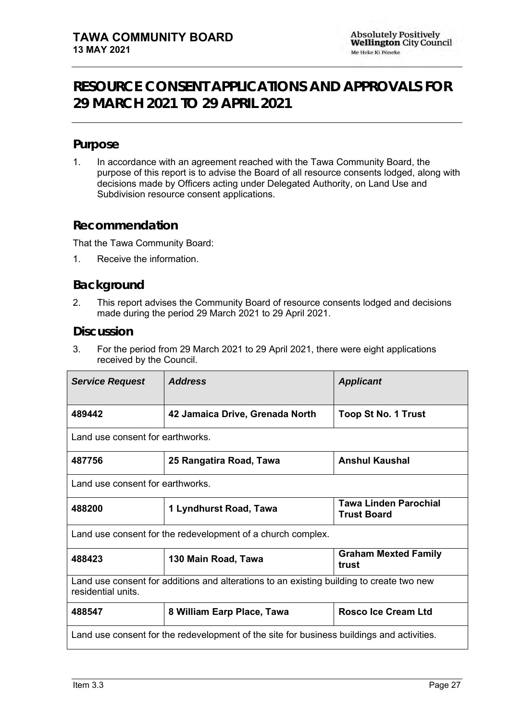# <span id="page-28-0"></span>**RESOURCE CONSENT APPLICATIONS AND APPROVALS FOR 29 MARCH 2021 TO 29 APRIL 2021**

## **Purpose**

1. In accordance with an agreement reached with the Tawa Community Board, the purpose of this report is to advise the Board of all resource consents lodged, along with decisions made by Officers acting under Delegated Authority, on Land Use and Subdivision resource consent applications.

## **Recommendation**

That the Tawa Community Board:

1. Receive the information.

## **Background**

2. This report advises the Community Board of resource consents lodged and decisions made during the period 29 March 2021 to 29 April 2021.

### **Discussion**

3. For the period from 29 March 2021 to 29 April 2021, there were eight applications received by the Council.

| <b>Service Request</b>                                                                                         | <b>Address</b>                   | <b>Applicant</b>                                   |  |
|----------------------------------------------------------------------------------------------------------------|----------------------------------|----------------------------------------------------|--|
| 489442                                                                                                         | 42 Jamaica Drive, Grenada North  | <b>Toop St No. 1 Trust</b>                         |  |
| Land use consent for earthworks.                                                                               |                                  |                                                    |  |
| 487756                                                                                                         | 25 Rangatira Road, Tawa          | <b>Anshul Kaushal</b>                              |  |
|                                                                                                                | Land use consent for earthworks. |                                                    |  |
| 488200                                                                                                         | 1 Lyndhurst Road, Tawa           | <b>Tawa Linden Parochial</b><br><b>Trust Board</b> |  |
| Land use consent for the redevelopment of a church complex.                                                    |                                  |                                                    |  |
| <b>Graham Mexted Family</b><br>488423<br>130 Main Road, Tawa<br>trust                                          |                                  |                                                    |  |
| Land use consent for additions and alterations to an existing building to create two new<br>residential units. |                                  |                                                    |  |
| 488547                                                                                                         | 8 William Earp Place, Tawa       | <b>Rosco Ice Cream Ltd</b>                         |  |
| Land use consent for the redevelopment of the site for business buildings and activities.                      |                                  |                                                    |  |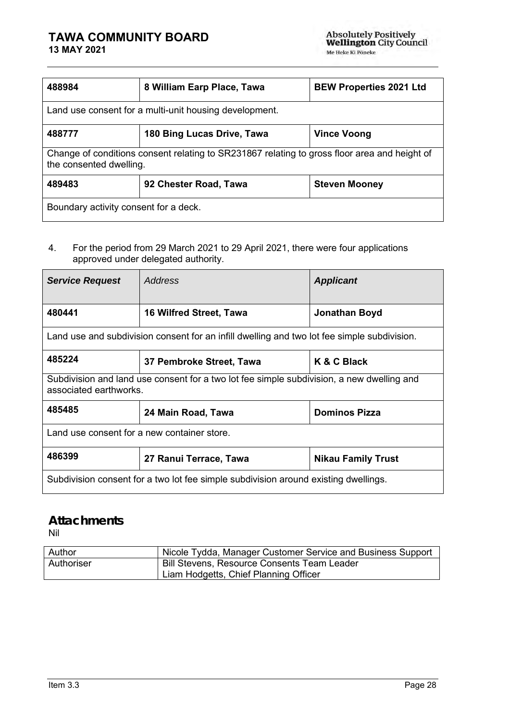# **TAWA COMMUNITY BOARD**

| 488984                                                                                                                  | 8 William Earp Place, Tawa | <b>BEW Properties 2021 Ltd</b> |  |  |
|-------------------------------------------------------------------------------------------------------------------------|----------------------------|--------------------------------|--|--|
| Land use consent for a multi-unit housing development.                                                                  |                            |                                |  |  |
| 488777                                                                                                                  | 180 Bing Lucas Drive, Tawa | <b>Vince Voong</b>             |  |  |
| Change of conditions consent relating to SR231867 relating to gross floor area and height of<br>the consented dwelling. |                            |                                |  |  |
| 489483<br><b>Steven Mooney</b><br>92 Chester Road, Tawa                                                                 |                            |                                |  |  |
| Boundary activity consent for a deck.                                                                                   |                            |                                |  |  |

### 4. For the period from 29 March 2021 to 29 April 2021, there were four applications approved under delegated authority.

| <b>Service Request</b>                                                                                              | Address                                                                                     | <b>Applicant</b>     |  |  |
|---------------------------------------------------------------------------------------------------------------------|---------------------------------------------------------------------------------------------|----------------------|--|--|
| 480441                                                                                                              | <b>16 Wilfred Street, Tawa</b>                                                              | Jonathan Boyd        |  |  |
|                                                                                                                     | Land use and subdivision consent for an infill dwelling and two lot fee simple subdivision. |                      |  |  |
| 485224                                                                                                              | 37 Pembroke Street, Tawa                                                                    | K & C Black          |  |  |
| Subdivision and land use consent for a two lot fee simple subdivision, a new dwelling and<br>associated earthworks. |                                                                                             |                      |  |  |
| 485485                                                                                                              | 24 Main Road, Tawa                                                                          | <b>Dominos Pizza</b> |  |  |
| Land use consent for a new container store.                                                                         |                                                                                             |                      |  |  |
| 486399<br><b>Nikau Family Trust</b><br>27 Ranui Terrace, Tawa                                                       |                                                                                             |                      |  |  |
| Subdivision consent for a two lot fee simple subdivision around existing dwellings.                                 |                                                                                             |                      |  |  |

# **Attachments**

Nil

| Author     | Nicole Tydda, Manager Customer Service and Business Support |
|------------|-------------------------------------------------------------|
| Authoriser | <b>Bill Stevens, Resource Consents Team Leader</b>          |
|            | Liam Hodgetts, Chief Planning Officer                       |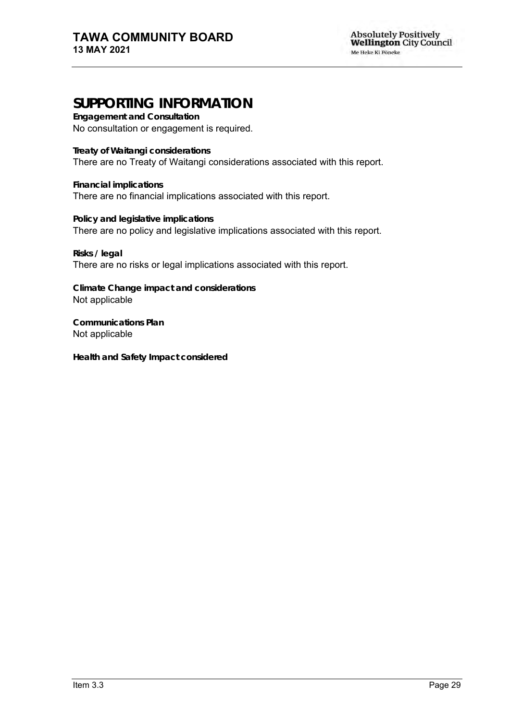# **SUPPORTING INFORMATION**

**Engagement and Consultation** No consultation or engagement is required.

**Treaty of Waitangi considerations** There are no Treaty of Waitangi considerations associated with this report.

**Financial implications** There are no financial implications associated with this report.

**Policy and legislative implications** There are no policy and legislative implications associated with this report.

**Risks / legal**  There are no risks or legal implications associated with this report.

**Climate Change impact and considerations** Not applicable

**Communications Plan** Not applicable

**Health and Safety Impact considered**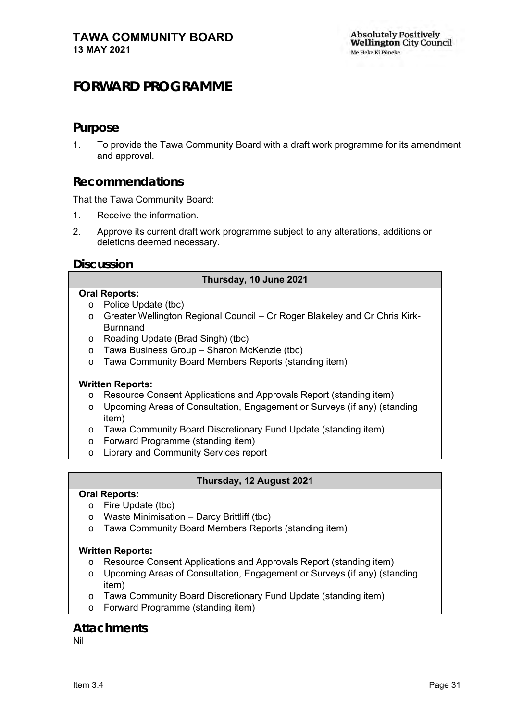# <span id="page-32-0"></span>**FORWARD PROGRAMME**

### **Purpose**

1. To provide the Tawa Community Board with a draft work programme for its amendment and approval.

### **Recommendations**

That the Tawa Community Board:

- 1. Receive the information.
- 2. Approve its current draft work programme subject to any alterations, additions or deletions deemed necessary.

### **Discussion**

### **Thursday, 10 June 2021**

#### **Oral Reports:**

- o Police Update (tbc)
- o Greater Wellington Regional Council Cr Roger Blakeley and Cr Chris Kirk-Burnnand
- o Roading Update (Brad Singh) (tbc)
- o Tawa Business Group Sharon McKenzie (tbc)
- o Tawa Community Board Members Reports (standing item)

### **Written Reports:**

- o Resource Consent Applications and Approvals Report (standing item)
- o Upcoming Areas of Consultation, Engagement or Surveys (if any) (standing item)
- o Tawa Community Board Discretionary Fund Update (standing item)
- o Forward Programme (standing item)
- o Library and Community Services report

### **Thursday, 12 August 2021**

#### **Oral Reports:**

- o Fire Update (tbc)
- o Waste Minimisation Darcy Brittliff (tbc)
- o Tawa Community Board Members Reports (standing item)

### **Written Reports:**

- o Resource Consent Applications and Approvals Report (standing item)
- o Upcoming Areas of Consultation, Engagement or Surveys (if any) (standing item)
- o Tawa Community Board Discretionary Fund Update (standing item)
- o Forward Programme (standing item)

### **Attachments**

Nil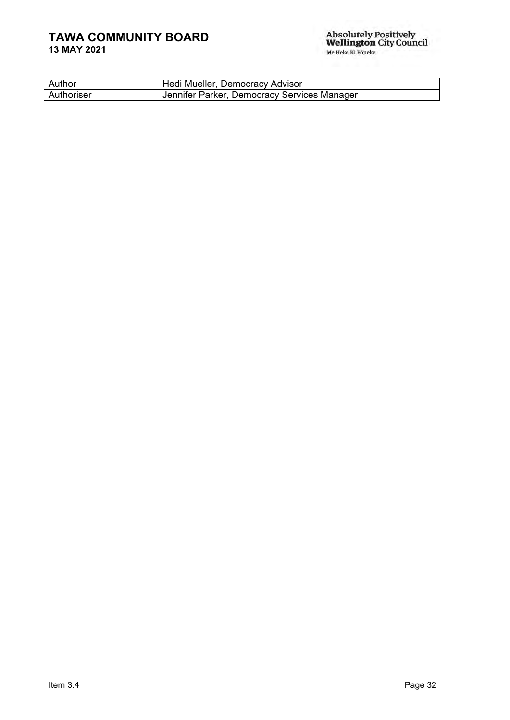# **TAWA COMMUNITY BOARD**

| Author     | Hedi Mueller, Democracy Advisor             |
|------------|---------------------------------------------|
| Authoriser | Jennifer Parker, Democracy Services Manager |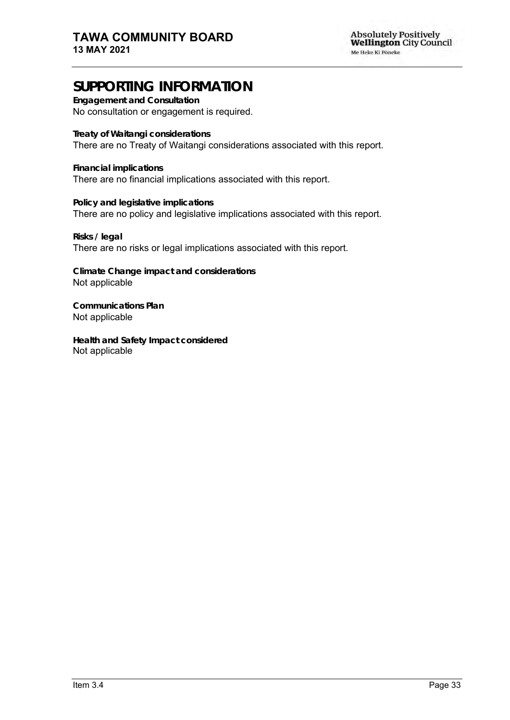# **SUPPORTING INFORMATION**

**Engagement and Consultation** No consultation or engagement is required.

**Treaty of Waitangi considerations** There are no Treaty of Waitangi considerations associated with this report.

**Financial implications** There are no financial implications associated with this report.

**Policy and legislative implications** There are no policy and legislative implications associated with this report.

**Risks / legal**  There are no risks or legal implications associated with this report.

**Climate Change impact and considerations** Not applicable

**Communications Plan** Not applicable

**Health and Safety Impact considered** Not applicable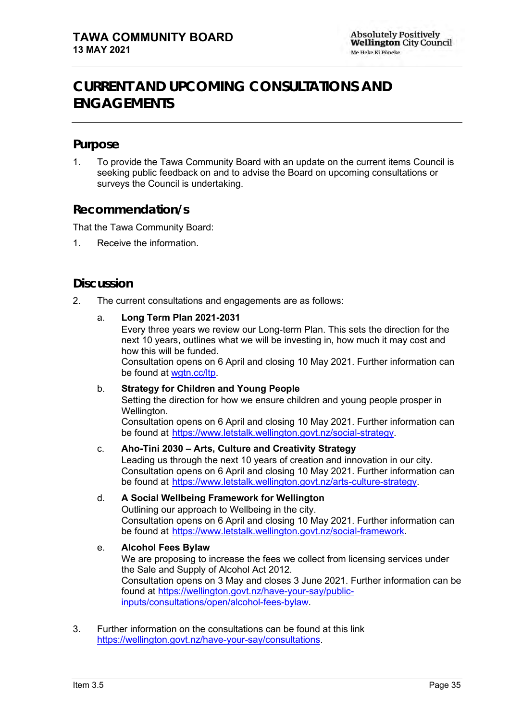# <span id="page-36-0"></span>**CURRENT AND UPCOMING CONSULTATIONS AND ENGAGEMENTS**

## **Purpose**

1. To provide the Tawa Community Board with an update on the current items Council is seeking public feedback on and to advise the Board on upcoming consultations or surveys the Council is undertaking.

## **Recommendation/s**

That the Tawa Community Board:

1. Receive the information.

## **Discussion**

2. The current consultations and engagements are as follows:

### a. **Long Term Plan 2021-2031**

Every three years we review our Long-term Plan. This sets the direction for the next 10 years, outlines what we will be investing in, how much it may cost and how this will be funded. Consultation opens on 6 April and closing 10 May 2021. Further information can

be found at [wgtn.cc/ltp.](https://www.letstalk.wellington.govt.nz/long-term-plan)

### b. **Strategy for Children and Young People**

Setting the direction for how we ensure children and young people prosper in Wellington.

Consultation opens on 6 April and closing 10 May 2021. Further information can be found at [https://www.letstalk.wellington.govt.nz/social-strategy.](https://www.letstalk.wellington.govt.nz/social-strategy)

### c. **Aho-Tini 2030 – Arts, Culture and Creativity Strategy**

Leading us through the next 10 years of creation and innovation in our city. Consultation opens on 6 April and closing 10 May 2021. Further information can be found at [https://www.letstalk.wellington.govt.nz/arts-culture-strategy.](https://www.letstalk.wellington.govt.nz/arts-culture-strategy)

### d. **A Social Wellbeing Framework for Wellington**

Outlining our approach to Wellbeing in the city. Consultation opens on 6 April and closing 10 May 2021. Further information can be found at [https://www.letstalk.wellington.govt.nz/social-framework.](https://www.letstalk.wellington.govt.nz/social-framework)

### e. **Alcohol Fees Bylaw**

We are proposing to increase the fees we collect from licensing services under the Sale and Supply of Alcohol Act 2012. Consultation opens on 3 May and closes 3 June 2021. Further information can be found at [https://wellington.govt.nz/have-your-say/public](https://wellington.govt.nz/have-your-say/public-inputs/consultations/open/alcohol-fees-bylaw)[inputs/consultations/open/alcohol-fees-bylaw.](https://wellington.govt.nz/have-your-say/public-inputs/consultations/open/alcohol-fees-bylaw)

3. Further information on the consultations can be found at this link [https://wellington.govt.nz/have-your-say/consultations.](https://wellington.govt.nz/have-your-say/consultations)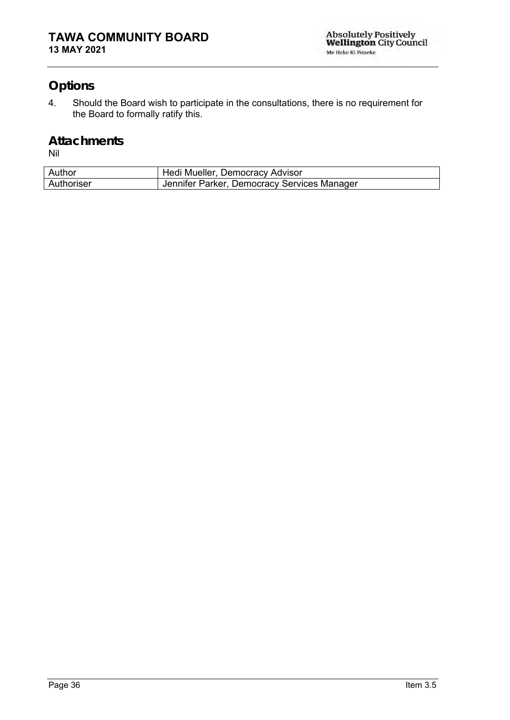# **Options**

4. Should the Board wish to participate in the consultations, there is no requirement for the Board to formally ratify this.

### **Attachments** Nil

| Author     | Hedi Mueller, Democracy Advisor             |
|------------|---------------------------------------------|
| Authoriser | Jennifer Parker, Democracy Services Manager |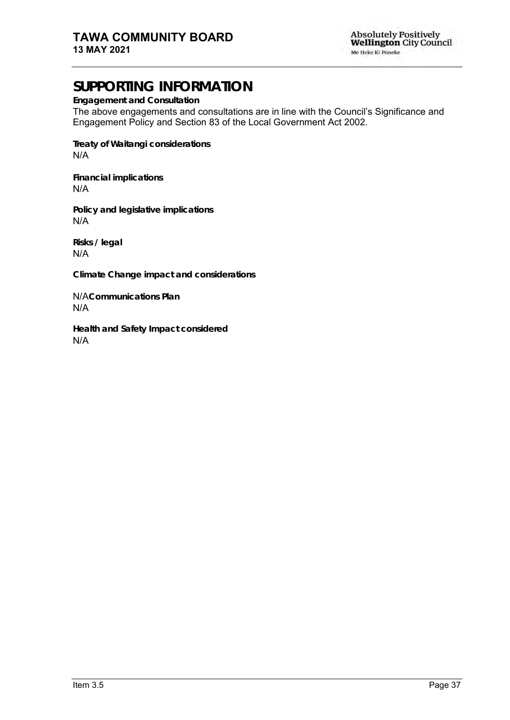# **SUPPORTING INFORMATION**

**Engagement and Consultation**

The above engagements and consultations are in line with the Council's Significance and Engagement Policy and Section 83 of the Local Government Act 2002.

**Treaty of Waitangi considerations** N/A

**Financial implications** N/A

**Policy and legislative implications** N/A

**Risks / legal**  N/A

**Climate Change impact and considerations**

N/A**Communications Plan** N/A

**Health and Safety Impact considered** N/A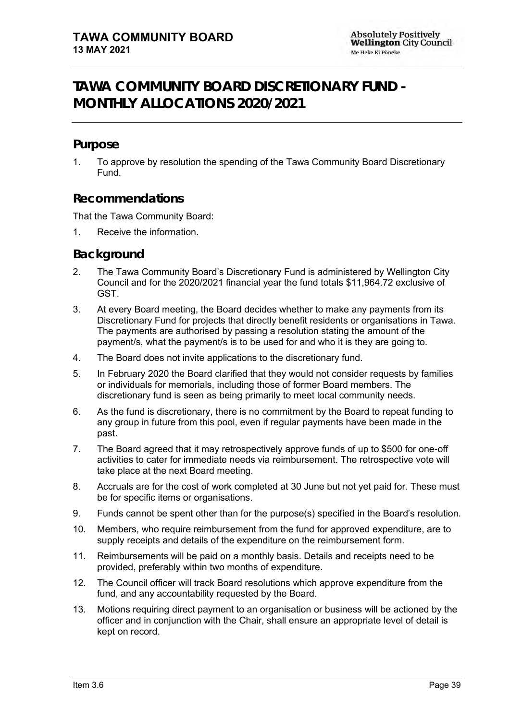# <span id="page-40-0"></span>**TAWA COMMUNITY BOARD DISCRETIONARY FUND - MONTHLY ALLOCATIONS 2020/2021**

## **Purpose**

1. To approve by resolution the spending of the Tawa Community Board Discretionary Fund.

## **Recommendations**

That the Tawa Community Board:

1. Receive the information.

### **Background**

- 2. The Tawa Community Board's Discretionary Fund is administered by Wellington City Council and for the 2020/2021 financial year the fund totals \$11,964.72 exclusive of GST.
- 3. At every Board meeting, the Board decides whether to make any payments from its Discretionary Fund for projects that directly benefit residents or organisations in Tawa. The payments are authorised by passing a resolution stating the amount of the payment/s, what the payment/s is to be used for and who it is they are going to.
- 4. The Board does not invite applications to the discretionary fund.
- 5. In February 2020 the Board clarified that they would not consider requests by families or individuals for memorials, including those of former Board members. The discretionary fund is seen as being primarily to meet local community needs.
- 6. As the fund is discretionary, there is no commitment by the Board to repeat funding to any group in future from this pool, even if regular payments have been made in the past.
- 7. The Board agreed that it may retrospectively approve funds of up to \$500 for one-off activities to cater for immediate needs via reimbursement. The retrospective vote will take place at the next Board meeting.
- 8. Accruals are for the cost of work completed at 30 June but not yet paid for. These must be for specific items or organisations.
- 9. Funds cannot be spent other than for the purpose(s) specified in the Board's resolution.
- 10. Members, who require reimbursement from the fund for approved expenditure, are to supply receipts and details of the expenditure on the reimbursement form.
- 11. Reimbursements will be paid on a monthly basis. Details and receipts need to be provided, preferably within two months of expenditure.
- 12. The Council officer will track Board resolutions which approve expenditure from the fund, and any accountability requested by the Board.
- 13. Motions requiring direct payment to an organisation or business will be actioned by the officer and in conjunction with the Chair, shall ensure an appropriate level of detail is kept on record.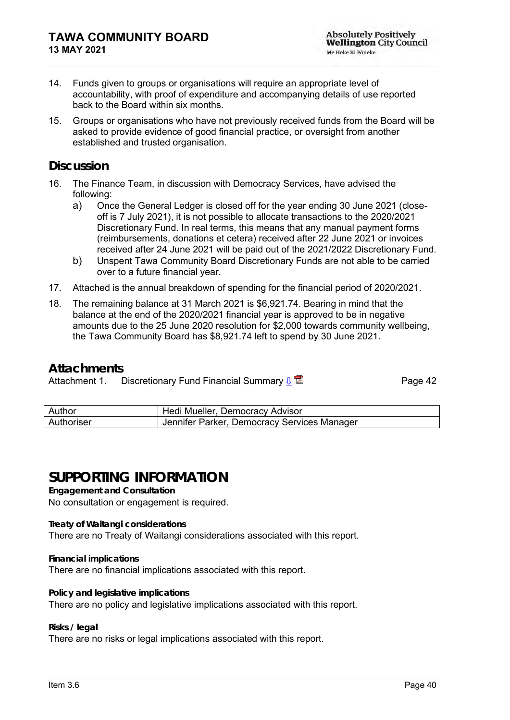- 14. Funds given to groups or organisations will require an appropriate level of accountability, with proof of expenditure and accompanying details of use reported back to the Board within six months.
- 15. Groups or organisations who have not previously received funds from the Board will be asked to provide evidence of good financial practice, or oversight from another established and trusted organisation.

### **Discussion**

- 16. The Finance Team, in discussion with Democracy Services, have advised the following:
	- a) Once the General Ledger is closed off for the year ending 30 June 2021 (closeoff is 7 July 2021), it is not possible to allocate transactions to the 2020/2021 Discretionary Fund. In real terms, this means that any manual payment forms (reimbursements, donations et cetera) received after 22 June 2021 or invoices received after 24 June 2021 will be paid out of the 2021/2022 Discretionary Fund.
	- b) Unspent Tawa Community Board Discretionary Funds are not able to be carried over to a future financial year.
- 17. Attached is the annual breakdown of spending for the financial period of 2020/2021.
- 18. The remaining balance at 31 March 2021 is \$6,921.74. Bearing in mind that the balance at the end of the 2020/2021 financial year is approved to be in negative amounts due to the 25 June 2020 resolution for \$2,000 towards community wellbeing, the Tawa Community Board has \$8,921.74 left to spend by 30 June 2021.

### **Attachments**

Attachment 1. Discretionary Fund Financial Summary  $\frac{1}{2}$ 

| Author     | Hedi Mueller, Democracy Advisor             |
|------------|---------------------------------------------|
| Authoriser | Jennifer Parker, Democracy Services Manager |

# **SUPPORTING INFORMATION**

**Engagement and Consultation**

No consultation or engagement is required.

**Treaty of Waitangi considerations**

There are no Treaty of Waitangi considerations associated with this report.

**Financial implications** There are no financial implications associated with this report.

**Policy and legislative implications** There are no policy and legislative implications associated with this report.

**Risks / legal** 

There are no risks or legal implications associated with this report.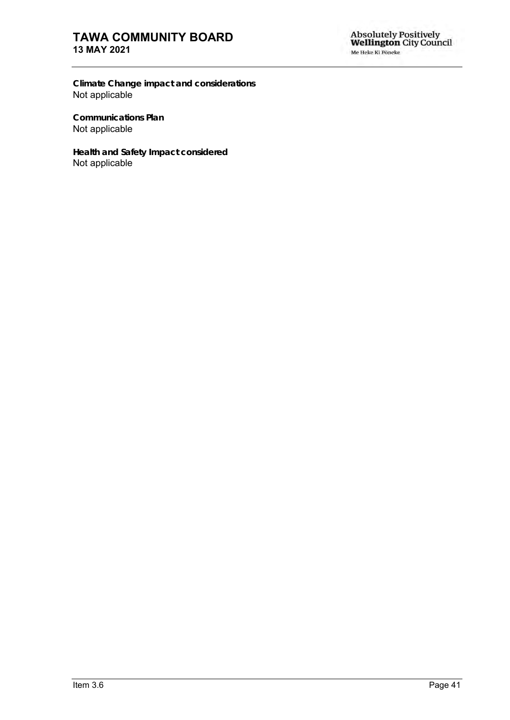## **TAWA COMMUNITY BOARD 13 MAY 2021**

**Climate Change impact and considerations** Not applicable

**Communications Plan** Not applicable

**Health and Safety Impact considered** Not applicable